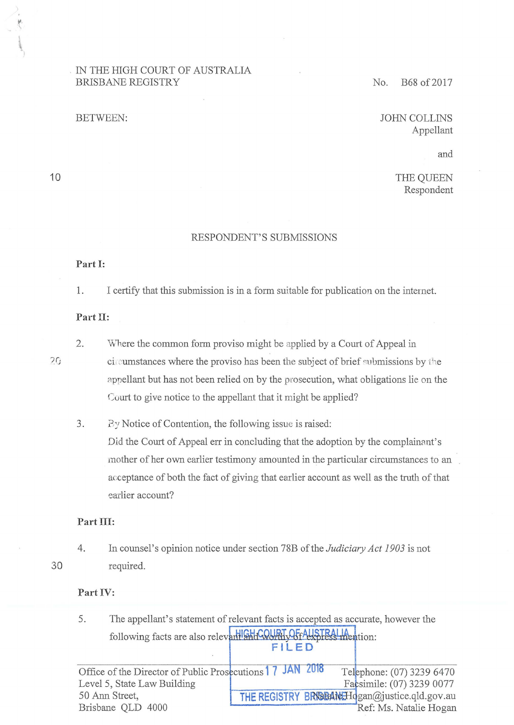#### . IN THE HIGH COURT OF AUSTRALIA BRISBANE REGISTRY No. B68 of 2017

# BETWEEN: JOHN COLLINS Appellant

and

THE QUEEN Respondent

#### RESPONDENT'S SUBMISSIONS

#### **Part I:**

1. I certify that this submission is in a form suitable for publication on the intemet.

#### **Part Il:**

2. Where the common form proviso might be applied by a Court of Appeal in circumstances where the proviso has been the subject of brief submissions by the nppellant but has not been relied on by the prosecution, what obligations lie on the Court to give notice to the appellant that it might be applied?

3. By Notice of Contention, the following issue is raised: Did the Court of Appeal err in concluding that the adoption by the complainant's mother of her own earlier testimony amounted in the particular circumstances to an acceptance of both the fact of giving that earlier account as well as the truth of that earlier account?

#### Part III:

4. In counsel's opinion notice under section 78B of the *Judiciary Act 1903* is not required.

#### **Part IV:**

5. The appellant's statement of relevant facts is accepted as accurate, however the following facts are also relevant Still COURI OF AUSTRALIA ention: **FILED** 

Office of the Director of Public Prosecutions **17 JAN 2018** Telephone: (07) 3239 6470 **1-----=-=-:-:-:::-=-=-==-=-=-::-:-=F-:i a** simile: (07) 3239 0077 THE REGISTRY BRIGEAN: Hogan@justice.qld.gov.au Ref: Ms. Natalie Hogan Level 5, State Law Building 50 Ann Street, Brisbane QLD 4000

10

 $20$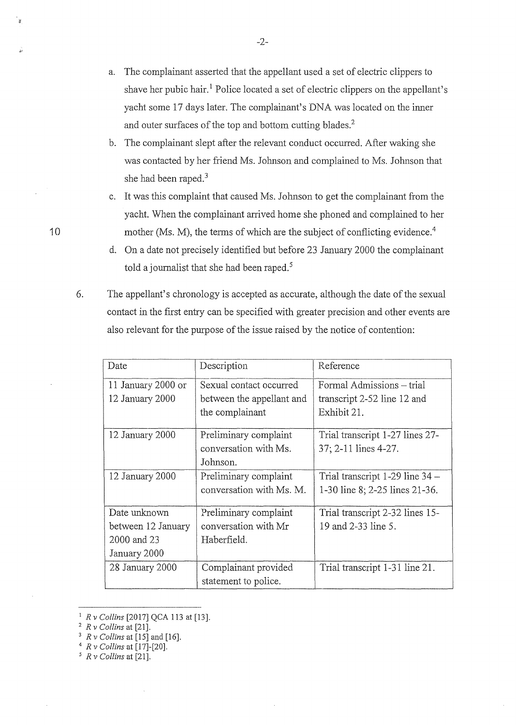- a. The complainant asserted that the appellant used a set of electric clippers to shave her pubic hair.<sup>1</sup> Police located a set of electric clippers on the appellant's yacht some 17 days later. The complainant's DNA was located on the inner and outer surfaces of the top and bottom cutting blades.<sup>2</sup>
- b. The complainant slept after the relevant conduct occurred. After waking she was contacted by her friend Ms. Johnson and complained to Ms. Johnson that she had been raped.<sup>3</sup>
- c. It was this complaint that caused Ms. Johnson to get the complainant from the yacht. When the complainant arrived home she phoned and complained to her mother (Ms. M), the terms of which are the subject of conflicting evidence.<sup>4</sup>
- d. On a date not precisely identified but before 23 January 2000 the complainant told a journalist that she had been raped.<sup>5</sup>
- 6. The appellant's chronology is accepted as accurate, although the date of the sexual contact in the first entry can be specified with greater precision and other events are also relevant for the purpose of the issue raised by the notice of contention:

| Date               | Description               | Reference                       |
|--------------------|---------------------------|---------------------------------|
| 11 January 2000 or | Sexual contact occurred   | Formal Admissions - trial       |
| 12 January 2000    | between the appellant and | transcript 2-52 line 12 and     |
|                    | the complainant           | Exhibit 21.                     |
| 12 January 2000    | Preliminary complaint     | Trial transcript 1-27 lines 27- |
|                    | conversation with Ms.     | 37; 2-11 lines 4-27.            |
|                    | Johnson.                  |                                 |
| 12 January 2000    | Preliminary complaint     | Trial transcript 1-29 line 34 - |
|                    | conversation with Ms. M.  | 1-30 line 8; 2-25 lines 21-36.  |
| Date unknown       | Preliminary complaint     | Trial transcript 2-32 lines 15- |
| between 12 January | conversation with Mr      | 19 and 2-33 line 5.             |
| 2000 and 23        | Haberfield.               |                                 |
| January 2000       |                           |                                 |
| 28 January 2000    | Complainant provided      | Trial transcript 1-31 line 21.  |
|                    | statement to police.      |                                 |

<sup>1</sup>*R v Collins* [20 17] QCA 113 at (13]. 2 *R v Collins* at [21]. 3 *R v Collins* at [15] and [16]. 4 *R v Collins* at [17]-[20]. 5 *RvCollinsat[21].* 

- 
- 
-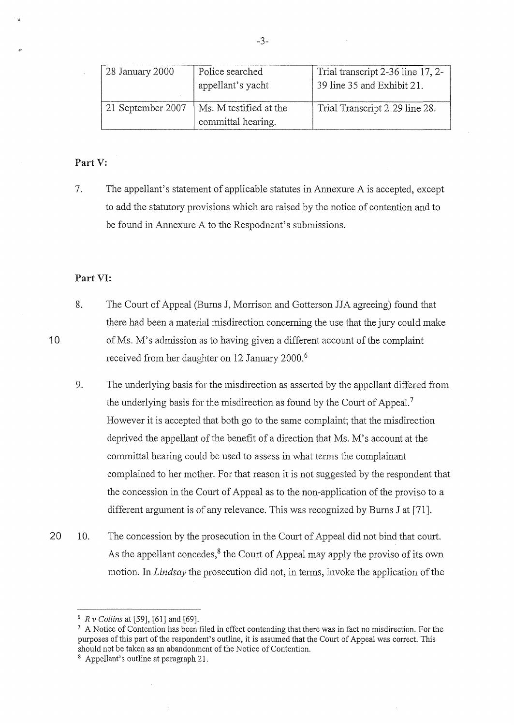| 28 January 2000   | Police searched                              | Trial transcript 2-36 line 17, 2- |
|-------------------|----------------------------------------------|-----------------------------------|
|                   | appellant's yacht                            | 39 line 35 and Exhibit 21.        |
| 21 September 2007 | Ms. M testified at the<br>committal hearing. | Trial Transcript 2-29 line 28.    |

#### **Part** V:

7. The appellant's statement of applicable statutes in Annexure A is accepted, except to add the statutory provisions which are raised by the notice of contention and to be found in Annexure A to the Respodnent's submissions.

#### **Part VI:**

10

- 8. The Court of Appeal (Bums J, Morrison and Gotterson JJA agreeing) found that there had been a material misdirection concerning the use that the jury could make ofMs. M's admission as to having given a different account of the complaint received from her daughter on 12 January 2000.<sup>6</sup>
	- 9. The underlying basis for the misdirection as asserted by the appellant differed from the underlying basis for the misdirection as found by the Court of Appeal.<sup>7</sup> However it is accepted that both go to the same complaint; that the misdirection deprived the appellant of the benefit of a direction that Ms. M's account at the committal hearing could be used to assess in what terms the complainant complained to her mother. For that reason it is not suggested by the respondent that the concession in the Court of Appeal as to the non-application of the proviso to a different argument is of any relevance. This was recognized by Burns J at [71].
- 20 10. The concession by the prosecution in the Court of Appeal did not bind that court. As the appellant concedes, $8$  the Court of Appeal may apply the proviso of its own motion. In *Lindsay* the prosecution did not, in terms, invoke the application of the

-3-

<sup>&</sup>lt;sup>6</sup>  $R v$  Collins at [59], [61] and [69].<br><sup>7</sup> A Notice of Contention has been filed in effect contending that there was in fact no misdirection. For the purposes of this part of the respondent's outline, it is assumed that the Court of Appeal was correct. This should not be taken as an abandonment of the Notice of Contention. 8 Appellant's outline at paragraph 21.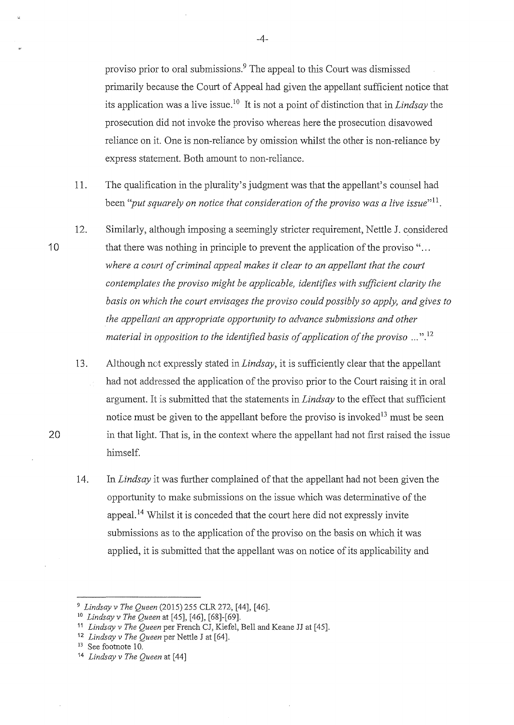proviso prior to oral submissions.9 The appeal to this Court was dismissed primarily because the Court of Appeal had given the appellant sufficient notice that its application was a live issue. 10 It is not a point of distinction that in *Lindsay* the prosecution did not invoke the proviso whereas here the prosecution disavowed reliance on it. One is non-reliance by omission whilst the other is non-reliance by express statement. Both amount to non-reliance.

- 11. The qualification in the plurality's judgment was that the appellant's counsel had been "*put squarely on notice that consideration of the proviso was a live issue*"<sup>11</sup>.
- 12. Similarly, although imposing a seemingly stricter requirement, Nettle J. considered that there was nothing in principle to prevent the application of the proviso "... *where a court of criminal appeal makes it clear to an appellant that the court contemplates the proviso might be applicable, identifies with sufficient clarity the basis on which the court envisages the proviso could possibly so apply, and gives to the appellant an appropriate opportunity to advance submissions and other material in opposition to the identified basis of application of the proviso* ..."<sup>12</sup>
	- 13. Although not expressly stated in *Lindsay,* it is sufficiently clear that the appellant had not addressed the application of the proviso prior to the Court raising it in oral argument. It is submitted that the statements in *Lindsay* to the effect that sufficient notice must be given to the appellant before the proviso is invoked<sup>13</sup> must be seen in that light. That is, in the context where the appellant had not first raised the issue himself.
	- 14. In *Lindsay* it was further complained of that the appellant had not been given the opportunity to make submissions on the issue which was determinative of the appeal. 14 Whilst it is conceded that the court here did not expressly invite submissions as to the application of the proviso on the basis on which it was applied, it is submitted that the appellant was on notice of its applicability and

10

20

-4-

<sup>9</sup>*Lindsay v The Queen* (2015) 255 CLR 272, [44], [46]. 10 *Lindsay v The Queen* at [45], [46], [68]-[69].

<sup>11</sup>*Lindsay v The Queen* per French CJ, Kiefel, Bell and Keane JJ at [45].

<sup>&</sup>lt;sup>12</sup> *Lindsay v The Queen* per Nettle J at [64].<br><sup>13</sup> See footnote 10.

<sup>14</sup> *Lindsay v The Queen* at [44]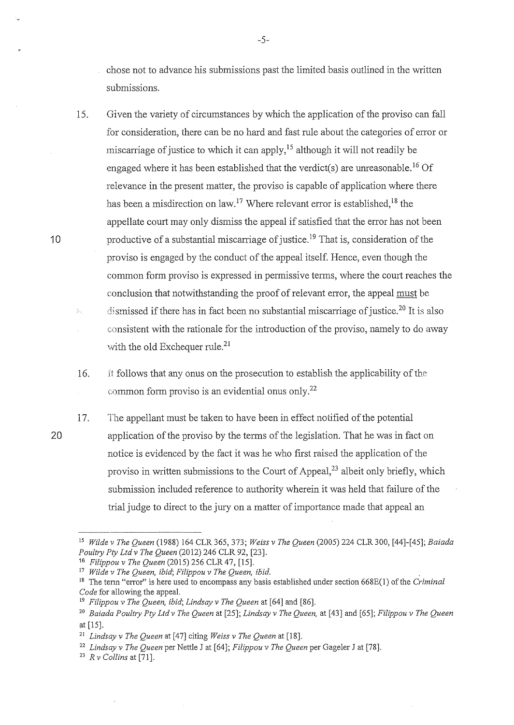chose not to advance his submissions past the limited basis outlined in the written submissions.

15. Given the variety of circumstances by which the application of the proviso can fall for consideration, there can be no hard and fast rule about the categories of error or miscarriage of justice to which it can apply,<sup>15</sup> although it will not readily be engaged where it has been established that the verdict(s) are unreasonable.<sup>16</sup> Of relevance in the present matter, the proviso is capable of application where there has been a misdirection on law.<sup>17</sup> Where relevant error is established.<sup>18</sup> the appellate court may only dismiss the appeal if satisfied that the error has not been productive of a substantial miscarriage of justice. 19 That is, consideration of the proviso is engaged by the conduct of the appeal itself. Hence, even though the common form proviso is expressed in permissive terms, where the court reaches the conclusion that notwithstanding the proof of relevant error, the appeal must be dismissed if there has in fact been no substantial miscarriage of justice.<sup>20</sup> It is also  $\hat{g}_{\mathcal{M}_i}$ consistent with the rationale for the introduction of the proviso, namely to do away with the old Exchequer rule.<sup>21</sup>

16. ft follows that any onus on the prosecution to establish the applicability of the common form proviso is an evidential onus only.2<sup>2</sup>

17. The appellant must be taken to have been in effect notified of the potential application of the proviso by the terms of the legislation. That he was in fact on notice is evidenced by the fact it was he who first raised the application of the proviso in written submissions to the Court of Appeal,<sup>23</sup> albeit only briefly, which submission included reference to authority wherein it was held that failure of the trial judge to direct to the jury on a matter of importance made that appeal an

10

<sup>15</sup>*Wilde v The Queen* (1988) 164 CLR 365, 373; *Weiss v The Queen* (2005) 224 CLR 300, [44]-[45]; *Baiada Poultry Pty Ltd v The Queen* (2012) 246 CLR 92, [23].<br><sup>16</sup> *Filippou v The Queen* (2015) 256 CLR 47, [15].

<sup>&</sup>lt;sup>17</sup> Wilde v The Queen, ibid; Filippou v The Queen, ibid.<br><sup>18</sup> The term "error" is here used to encompass any basis established under section 668E(1) of the Criminal *Code* for allowing the appeal. 19 *Filippou v The Queen, ibid; Lindsay v The Queen* at [64] and [86].

<sup>20</sup>*Baiada Poultry Pty Ltd v The Queen* at [25]; *Lindsay v The Queen,* at [43] and [65]; *Filippou v The Queen*  at [15].

<sup>21</sup>*Lindsay v The Queen* at [47] citing *Weiss v The Queen* at [18].

<sup>22</sup>*Lindsay v The Queen* per Nettle J at [64]; *Filippou v The Queen* per Gageler J at [78]. 23 *R v Collins* at [71].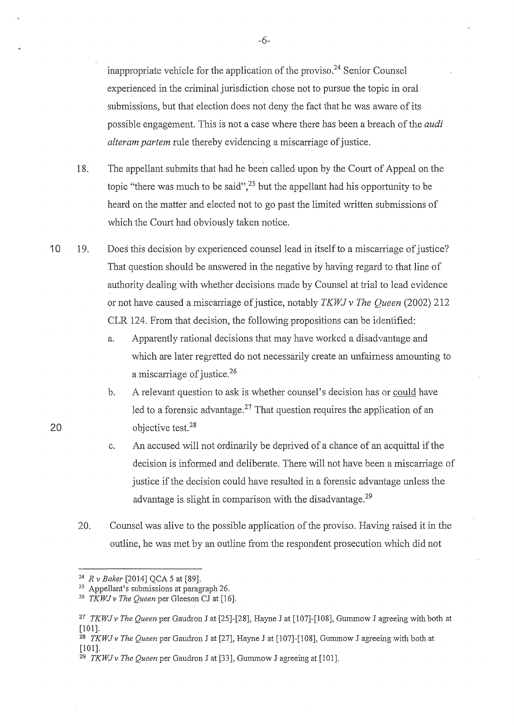inappropriate vehicle for the application of the proviso.<sup>24</sup> Senior Counsel experienced in the criminal jurisdiction chose not to pursue the topic in oral submissions, but that election does not deny the fact that he was aware of its possible engagement. This is not a case where there has been a breach of the *audi alteram partem* rule thereby evidencing a miscarriage of justice.

- 18. The appellant submits that had he been called upon by the Court of Appeal on the topic "there was much to be said",<sup>25</sup> but the appellant had his opportunity to be heard on the matter and elected not to go past the limited written submissions of which the Court had obviously taken notice.
- 10 19. Doe\$ this decision by experienced counsel lead in itself to a miscarriage of justice? That question should be answered in the negative by having regard to that line of authority dealing with whether decisions made by Counsel at trial to lead evidence or not have caused a miscarriage of justice, notably *TKW* J *v The Queen* (2002) 212 CLR 124. From that decision, the following propositions can be identified:
	- a. Apparently rational decisions that may have worked a disadvantage and which are later regretted do not necessarily create an unfairness amounting to a miscarriage of justice.<sup>26</sup>
	- b. A relevant question to ask is whether counsel's decision has or could have led to a forensic advantage.<sup>27</sup> That question requires the application of an objective test.<sup>28</sup>
	- c. An accused will not ordinarily be deprived of a chance of an acquittal if the decision is informed and deliberate. There will not have been a miscarriage of justice if the decision could have resulted in a forensic advantage unless the advantage is slight in comparison with the disadvantage.<sup>29</sup>
	- 20. Counsel was alive to the possible application of the proviso. Having raised it in the outline, he was met by an outline from the respondent prosecution which did not

20

-6-

<sup>&</sup>lt;sup>24</sup> *R v Baker* [2014] QCA 5 at [89].<br><sup>25</sup> Appellant's submissions at paragraph 26.<br><sup>26</sup> *TKWJ v The Queen* per Gleeson CJ at [16].

<sup>27</sup>*TKWJv The Queen* per Gaudron J at [25]-[28], Hayne J at [107]-[108], Gummow J agreeing with both at [101].

<sup>28</sup>*TKWJ v The Queen* per Gaudron J at [27], Hayne J at [107]-[108], Gummow J agreeing with both at [101].

<sup>29</sup> *TKWJv The Queen* per Gaudron J at [33], Gummow J agreeing at [101].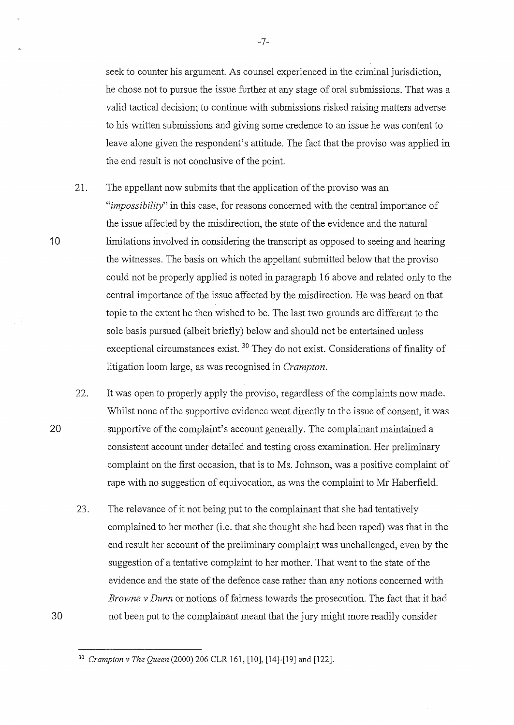seek to counter his argument. As counsel experienced in the criminal jurisdiction, he chose not to pursue the issue further at any stage of oral submissions. That was a valid tactical decision; to continue with submissions risked raising matters adverse to his written submissions and giving some credence to an issue he was content to leave alone given the respondent's attitude. The fact that the proviso was applied in the end result is not conclusive of the point.

21. The appellant now submits that the application of the proviso was an *"impossibility"* in this case, for reasons concerned with the central importance of the issue affected by the misdirection, the state of the evidence and the natural limitations involved in considering the transcript as opposed to seeing and hearing the witnesses. The basis on which the appellant submitted below that the proviso could not be properly applied is noted in paragraph 16 above and related only to the central importance of the issue affected by the misdirection. He was heard on that topic to the extent he then wished to be. The last two grounds are different to the sole basis pursued (albeit briefly) below and should not be entertained unless exceptional circumstances exist.<sup>30</sup> They do not exist. Considerations of finality of litigation loom large, as was recognised in *Crampton.* 

22. It was open to properly apply the proviso, regardless of the complaints now made. Whilst none of the supportive evidence went directly to the issue of consent, it was supportive of the complaint's account generally. The complainant maintained a consistent account under detailed and testing cross examination. Her preliminary complaint on the first occasion, that is to Ms. Johnson, was a positive complaint of rape with no suggestion of equivocation, as was the complaint to Mr Haberfield.

23. The relevance of it not being put to the complainant that she had tentatively complained to her mother (i.e. that she thought she had been raped) was that in the end result her account of the preliminary complaint was unchallenged, even by the suggestion of a tentative complaint to her mother. That went to the state of the evidence and the state of the defence case rather than any notions concerned with *Brow ne v Dunn* or notions of fairness towards the prosecution. The fact that it had not been put to the complainant meant that the jury might more readily consider

-7-

20

<sup>3</sup> ° *Crampton v The Queen* (2000) 206 CLR 161, [10], [14]-[19] and [122].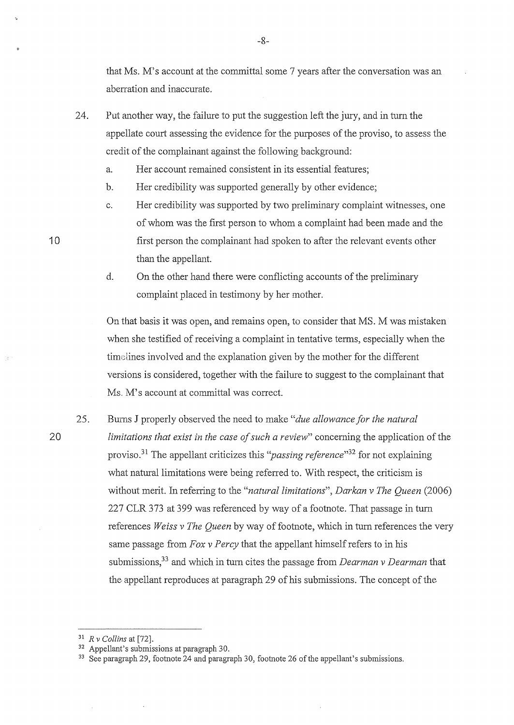that Ms. M's account at the committal some 7 years after the conversation was an aberration and inaccurate.

- 24. Put another way, the failure to put the suggestion left the jury, and in turn the appellate court assessing the evidence for the purposes of the proviso, to assess the credit of the complainant against the following background:
	- a. Her account remained consistent in its essential features;
	- b. Her credibility was supported generally by other evidence;
	- c. Her credibility was supported by two preliminary complaint witnesses, one of whom was the first person to whom a complaint had been made and the first person the complainant had spoken to after the relevant events other than the appellant.
	- d. On the other hand there were conflicting accounts of the preliminary complaint placed in testimony by her mother.

On that basis it was open, and remains open, to consider that MS. M was mistaken when she testified of receiving a complaint in tentative terms, especially when the time lines involved and the explanation given by the mother for the different versions is considered, together with the failure to suggest to the complainant that Ms. M's account at committal was correct.

25. Burns J properly observed the need to make *"due allowance for the natural limitations that exist in the case of such a review"* concerning the application of the proviso.31 The appellant criticizes this *''passing reference"<sup>32</sup>*for not explaining what natural limitations were being referred to. With respect, the criticism is without merit. In referring to the *"natural limitations", Darkan v The Queen* (2006) 227 CLR 373 at 399 was referenced by way of a footnote. That passage in turn references *Weiss v The Queen* by way of footnote, which in turn references the very same passage from *Fox v Percy* that the appellant himself refers to in his submissions,33 and which in turn cites the passage from *Dearman v Dearman* that the appellant reproduces at paragraph 29 of his submissions. The concept of the

10

<sup>&</sup>lt;sup>31</sup> *R v Collins* at [72].<br><sup>32</sup> Appellant's submissions at paragraph 30.<br><sup>33</sup> See paragraph 29, footnote 24 and paragraph 30, footnote 26 of the appellant's submissions.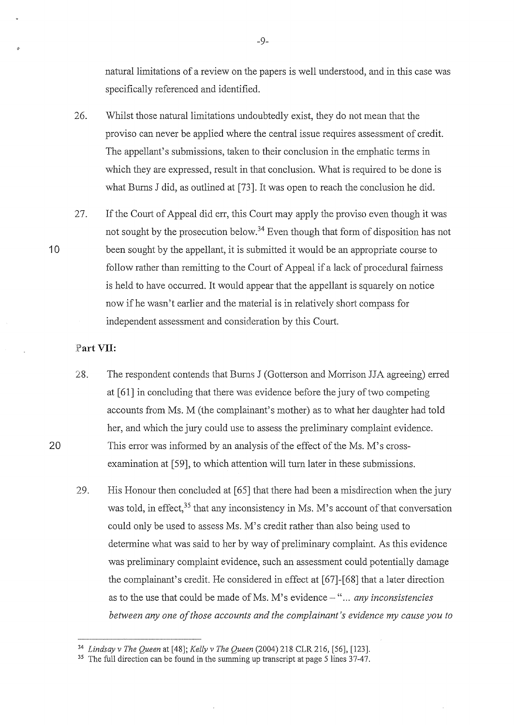natural limitations of a review on the papers is well understood, and in this case was specifically referenced and identified.

- 26. Whilst those natural limitations undoubtedly exist, they do not mean that the proviso can never be applied where the central issue requires assessment of credit. The appellant's submissions, taken to their conclusion in the emphatic terms in which they are expressed, result in that conclusion. What is required to be done is what Burns J did, as outlined at [73]. It was open to reach the conclusion he did.
- 27. If the Court of Appeal did err, this Court may apply the proviso even though it was not sought by the prosecution below.<sup>34</sup> Even though that form of disposition has not been sought by the appellant, it is submitted it would be an appropriate course to follow rather than remitting to the Court of Appeal if a lack of procedural fairness is held to have occurred. It would appear that the appellant is squarely on notice now if he wasn't earlier and the material is in relatively short compass for independent assessment and consideration by this Court.

#### **. Part VII:**

- 28. The respondent contends that Burns J (Gotterson and Morrison JJA agreeing) erred at [61] in concluding that there was evidence before the jury of two competing accounts from Ms. M (the complainant's mother) as to what her daughter had told her, and which the jury could use to assess the preliminary complaint evidence. This error was informed by an analysis of the effect of the Ms. M's crossexamination at [59], to which attention will turn later in these submissions.
- 29. His Honour then concluded at [65] that there had been a misdirection when the jury was told, in effect,  $35$  that any inconsistency in Ms. M's account of that conversation could only be used to assess Ms. M's credit rather than also being used to determine what was said to her by way of preliminary complaint. As this evidence was preliminary complaint evidence, such an assessment could potentially damage the complainant's credit. He considered in effect at [67]-[68] that a later direction as to the use that could be made of Ms. M's evidence - "... *any inconsistencies between any one of those accounts and the complainant's evidence my cause you to*

-9-

20

<sup>&</sup>lt;sup>34</sup> *Lindsay v The Queen* at [48]; *Kelly v The Queen* (2004) 218 CLR 216, [56], [123].<br><sup>35</sup> The full direction can be found in the summing up transcript at page 5 lines 37-47.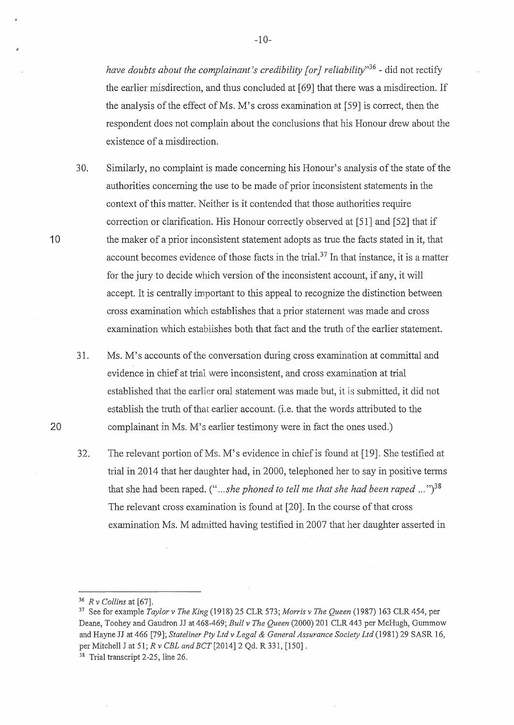*have doubts about the complainant's credibility [or] reliability"<sup>36</sup> -* did not rectify the earlier misdirection, and thus concluded at [69] that there was a misdirection. If the analysis of the effect of Ms. M's cross examination at  $[59]$  is correct, then the respondent does not complain about the conclusions that his Honour drew about the existence of a misdirection.

30. Similarly, no complaint is made concerning his Honour's analysis of the state of the authorities concerning the use to be made of prior inconsistent statements in the context of this matter. Neither is it contended that those authorities require correction or clarification. His Honour correctly observed at [51] and [52] that if the maker of a prior inconsistent statement adopts as true the facts stated in it, that account becomes evidence of those facts in the trial.<sup>37</sup> In that instance, it is a matter for the jury to decide which version of the inconsistent account, if any, it will accept. It is centrally important to this appeal to recognize the distinction between cross examination which establishes that a prior statement was made and cross examination which establishes both that fact and the truth of the earlier statement.

31. Ms. M's accounts ofthe conversation during cross examination at committal and evidence in chief at trial were inconsistent, and cross examination at trial established that the earlier oral statement was made but, it is submitted, it did not establish the truth of that earlier account. (i.e. that the words attributed to the complainant in Ms. M's earlier testimony were in fact the ones used.)

32. The relevant portion of Ms. M's evidence in chief is found at [19]. She testified at trial in 2014 that her daughter had, in 2000, telephoned her to say in positive terms that she had been raped.  $($ "... *she phoned to tell me that she had been raped* ..." $)$ <sup>38</sup> The relevant cross examination is found at [20]. In the course of that cross examination Ms. M admitted having testified in 2007 that her daughter asserted in

10

<sup>36</sup>*R v Collins* at [67]. 37 See for example *Taylor v The King* (1918) 25 CLR 573; *Morris v The Queen* (1987) 163 CLR 454, per Deane, Toohey and Gaudron JJ at 468-469; *Bull v The Queen* (2000) 201 CLR 443 per McHugh, Gummow and Hayne JJ at 466 [79]; *Stateliner Pty Ltd v Legal* & *General Assurance Society Ltd* (1981) 29 SASR 16, per Mitchell J at 51; *R v CBL and BCT* [2014] 2 Qd. R 331, [150].

<sup>38</sup> Trial transcript 2-25, line 26.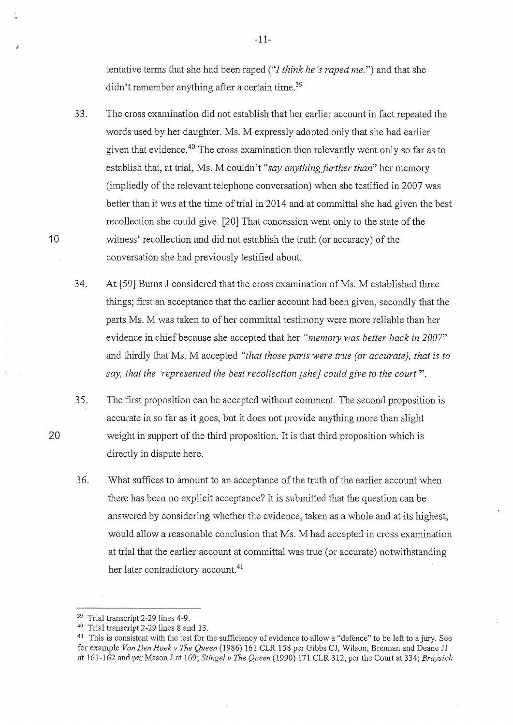tentative terms that she had been raped ("I *think he* 's *raped me.")* and that she didn't remember anything after a certain time.<sup>39</sup>

- 33. The cross examination did not establish that her earlier account in fact repeated the words used by her daughter. Ms. M expressly adopted only that she had earlier given that evidence.40 The cross examination then relevantly went only so far as to establish that, at trial, Ms. M couldn't *"say anything further than"* her memory (impliedly of the relevant telephone conversation) when she testified in 2007 was better than it was at the time of trial in 2014 and at committal she had given the best recollection she could give. [20] That concession went only to the state of the witness' recollection and did not establish the truth (or accuracy) of the conversation she had previously testified about.
- 34. At [59] Burns J considered that the cross examination of Ms. M established three things; first an acceptance that the earlier account had been given, secondly that the parts Ms. M was taken to of her committal testimony were more reliable than her evidence in chief because she accepted that her *"memory was better back in 2007"*  and thirdly that Ms. M accepted *"that those parts were true (or accurate), that is to say, that the 'represented the best recollection [she] could give to the court"'.*
- 35. The first proposition can be accepted without comment. The second proposition is accurate in so far as it goes, but it does not provide anything more than slight weight in support of the third proposition. It is that third proposition which is directly in dispute here.
- 36. What suffices to amount to an acceptance of the truth of the earlier account when there has been no explicit acceptance? It is submitted that the question can be answered by considering whether the evidence, taken as a whole and at its highest, would allow a reasonable conclusion that Ms. M had accepted in cross examination at trial that the earlier account at committal was true (or accurate) notwithstanding her later contradictory account.<sup>41</sup>

20

<sup>&</sup>lt;sup>39</sup> Trial transcript 2-29 lines 4-9.<br><sup>40</sup> Trial transcript 2-29 lines 8 and 13.

<sup>&</sup>lt;sup>41</sup> This is consistent with the test for the sufficiency of evidence to allow a "defence" to be left to a jury. See for example *Van Den Hoekv The Queen* (1986) 161 CLR 158 per Gibbs CJ, Wilson, Brennan and Deane JJ at 161-162 and per Mason J at 169; *Stingel v The Queen* (1990) 171 CLR 312, per the Court at 334; *Braysich*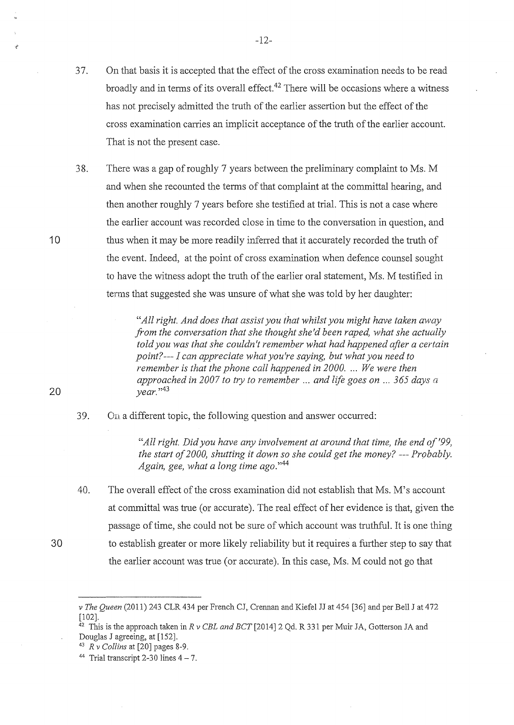37. On that basis it is accepted that the effect of the cross examination needs to be read broadly and in terms of its overall effect.42 There will be occasions where a witness has not precisely admitted the truth of the earlier assertion but the effect of the cross examination carries an implicit acceptance of the truth of the earlier account. That is not the present case.

38. There was a gap of roughly 7 years between the preliminary complaint to Ms. M and when she recounted the terms of that complaint at the committal hearing, and then another roughly 7 years before she testified at trial. This is not a case where the earlier account was recorded close in time to the conversation in question, and thus when it may be more readily inferred that it accurately recorded the truth of the event. Indeed, at the point of cross examination when defence counsel sought to have the witness adopt the truth of the earlier oral statement, Ms. M testified in terrns that suggested she was unsure of what she was told by her daughter:

> *"All right. And does that assist you that whilst you might have taken avvay from the conversation that she thought she'd been raped, what she actually told you was that she couldn't remember what had happened after a certain point?--- I can appreciate what you're saying, but what you need to remember is that the phone call happened in 2000 .* ... *We were then approached in 2007 to try to remember ... and life goes on* ... *365 days a year.* "<sup>43</sup>

39. On a different topic, the following question and answer occurred:

> *"All right. Did you have any involvement at around that time, the end of '99, the start of2000, shutting it down so she could get the money?--- Probably. Again, gee, what a long time ago."*<sup>44</sup>

40. The overall effect of the cross examination did not establish that Ms. M's account at committal was true (or accurate). The real effect of her evidence is that, given the passage of time, she could not be sure of which account was truthful. It is one thing to establish greater or more likely reliability but it requires a further step to say that the earlier account was true (or accurate). In this case, Ms. M could not go that

20

30

*v The Queen* (2011) 243 CLR 434 per French CJ, Crennan and Kiefel JJ at 454 [36] and per Bell J at 472 [102].

 $42$  This is the approach taken in *R v CBL and BCT* [2014] 2 Qd. R 331 per Muir JA, Gotterson JA and Douglas J agreeing, at [152].

<sup>&</sup>lt;sup>43</sup>  $R$  *v Collins* at [20] pages 8-9.<br><sup>44</sup> Trial transcript 2-30 lines  $4 - 7$ .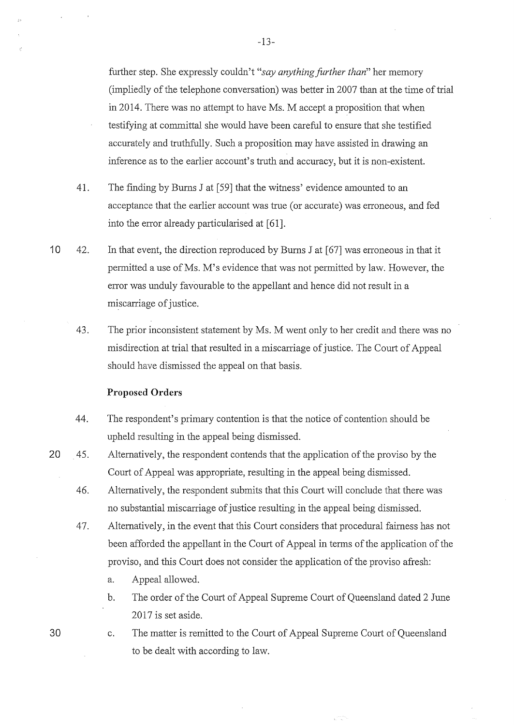further step. She expressly couldn't *"say anything further than"* her memory (impliedly of the telephone conversation) was better in 2007 than at the time of trial in 2014. There was no attempt to have Ms. M accept a proposition that when testifying at committal she would have been careful to ensure that she testified accurately and truthfully. Such a proposition may have assisted in drawing an inference as to the earlier account's truth and accuracy, but it is non-existent.

- 41. The finding by Burns J at [59] that the witness' evidence amounted to an acceptance that the earlier account was true (or accurate) was erroneous, and fed into the error already particularised at [61].
- 10 42. In that event, the direction reproduced by Burns J at [67] was erroneous in that it permitted a use of Ms. M's evidence that was not permitted by law. However, the error was unduly favourable to the appellant and hence did not result in a miscarriage of justice.
	- 43. The prior inconsistent statement by Ms. M went only to her credit and there was no misdirection at trial that resulted in a miscarriage of justice. The Court of Appeal should have dismissed the appeal on that basis.

#### **Proposed Orders**

- 44. The respondent's primary contention is that the notice of contention should be upheld resulting in the appeal being dismissed.
- 20 45. Alternatively, the respondent contends that the application of the proviso by the Court of Appeal was appropriate, resulting in the appeal being dismissed.
	- 46. Alternatively, the respondent submits that this Court will conclude that there was no substantial miscarriage of justice resulting in the appeal being dismissed.
	- 47. Alternatively, in the event that this Court considers that procedural fairness has not been afforded the appellant in the Court of Appeal in terms of the application of the proviso, and this Court does not consider the application of the proviso afresh:
		- a. Appeal allowed.
		- b. The order of the Court of Appeal Supreme Court of Queensland dated 2 June 2017 is set aside.

c. The matter is remitted to the Court of Appeal Supreme Court of Queensland to be dealt with according to law.

an d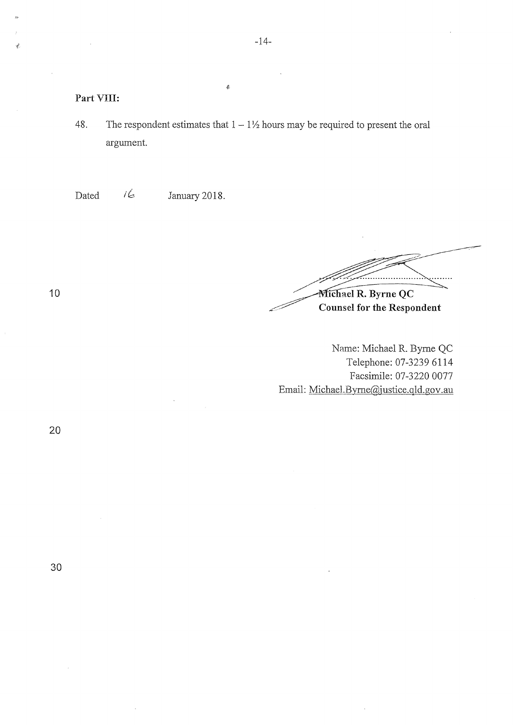#### **Part** VIII:

48. The respondent estimates that  $1 - 1\frac{1}{2}$  hours may be required to present the oral argument.

 $\frac{d}{dt_0}$ 

Dated  $\sqrt{6}$  January 2018.

Michael R. Byrne QC

**Counsel for the Respondent** 

Name: Michael R. Byme QC Telephone: 07-3239 6114 Facsimile: 07-3220 0077 Email: Michael.Byme@justice.qld.gov.au

30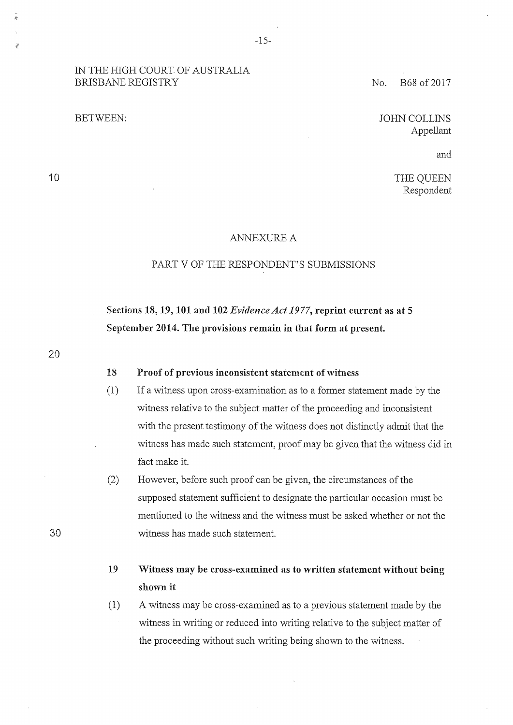### IN THE HIGH COURT OF AUSTRALIA BRISBANE REGISTRY No. B68 of 2017

JOHN COLLINS Appellant

and

THE QUEEN Respondent

#### ANNEXURE A

### PART V OF THE RESPONDENT'S SUBMISSIONS

# **Sections 18, 19, 101 and 102** *Evidence Act 1977,* **reprint current as at 5 September 2014. The provisions remain in that form at present.**

20

30

10

# **18 Proof of previous inconsistent statement of witness**

- (1) If a witness upon cross-examination as to a former statement made by the witness relative to the subject matter of the proceeding and inconsistent with the present testimony of the witness does not distinctly admit that the witness has made such statement, proof may be given that the witness did in fact make it.
- (2) However, before such proof can be given, the circumstances of the supposed statement sufficient to designate the particular occasion must be mentioned to the witness and the witness must be asked whether or not the witness has made such statement.
- **19 Witness may be cross-examined as to written statement without being shown it**
- (1) A witness may be cross-examined as to a previous statement made by the witness in writing or reduced into writing relative to the subject matter of the proceeding without such writing being shown to the witness.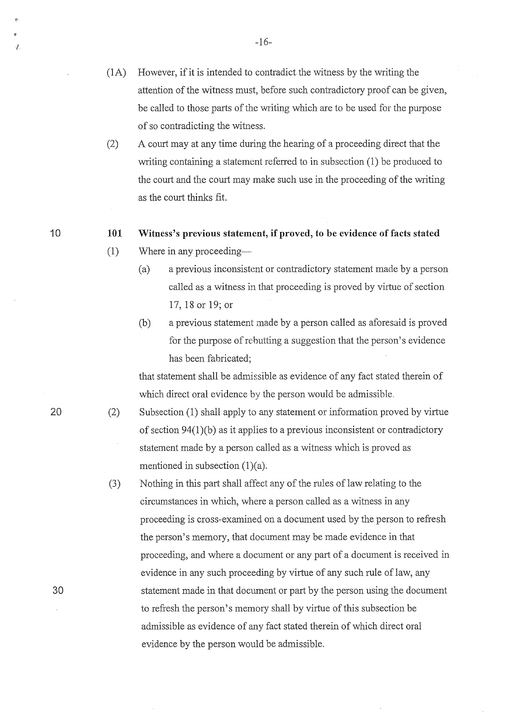- (lA) However, if it is intended to contradict the witness by the writing the attention of the witness must, before such contradictory proof can be given, be called to those parts of the writing which are to be used for the purpose of so contradicting the witness.
- (2) A court may at any time during the hearing of a proceeding direct that the writing containing a statement referred to in subsection (1) be produced to the court and the court may make such use in the proceeding of the writing as the court thinks fit.

#### **101 Witness's previous statement, if proved, to be evidence of facts stated**

- (1) Where in any proceeding-
	- ( a) a previous inconsistent or contradictory statement made by a person called as a witness in that proceeding is proved by virtue of section 17, 18 or 19; or
	- (b) a previous statement made by a person called as aforesaid is proved for the purpose of rebutting a suggestion that the person's evidence has been fabricated;

that statement shall be admissible as evidence of any fact stated therein of which direct oral evidence by the person would be admissible.

- (2) Subsection (1) shall apply to any statement or information proved by virtue of section 94(1 )(b) as it applies to a previous inconsistent or contradictory statement made by a person called as a witness which is proved as mentioned in subsection (1)(a).
- (3) Nothing in this part shall affect any of the rules of law relating to the circumstances in which, where a person called as a witness in any proceeding is cross-examined on a document used by the person to refresh the person's memory, that document may be made evidence in that proceeding, and where a document or any part of a document is received in evidence in any such proceeding by virtue of any such rule of law, any statement made in that document or part by the person using the document to refresh the person's memory shall by virtue of this subsection be admissible as evidence of any fact stated therein of which direct oral evidence by the person would be admissible.

20

30